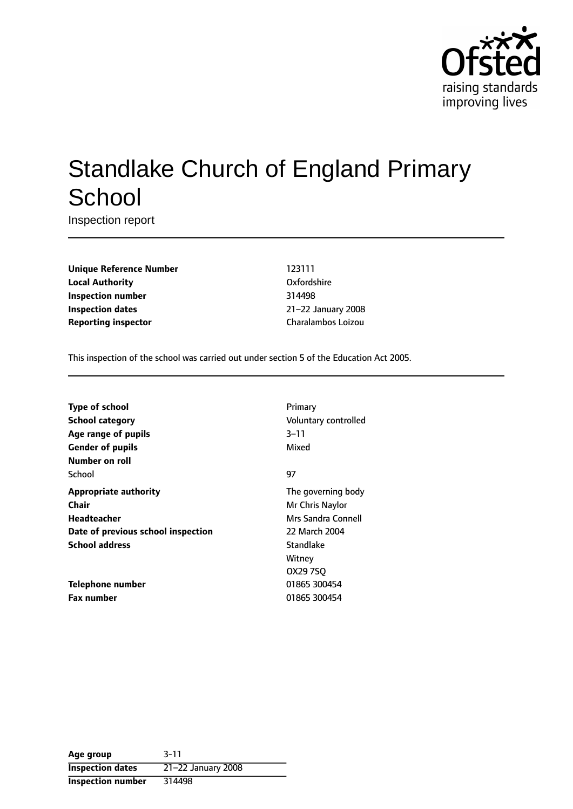

# Standlake Church of England Primary **School**

Inspection report

**Unique Reference Number** 123111 **Local Authority** Oxfordshire **Inspection number** 314498 **Inspection dates** 21-22 January 2008 **Reporting inspector Charalambos Loizou** 

This inspection of the school was carried out under section 5 of the Education Act 2005.

| <b>Type of school</b>              | Primary              |
|------------------------------------|----------------------|
| <b>School category</b>             | Voluntary controlled |
| Age range of pupils                | 3–11                 |
| <b>Gender of pupils</b>            | Mixed                |
| Number on roll                     |                      |
| School                             | 97                   |
| <b>Appropriate authority</b>       | The governing body   |
| Chair                              | Mr Chris Naylor      |
| <b>Headteacher</b>                 | Mrs Sandra Connell   |
| Date of previous school inspection | 22 March 2004        |
| <b>School address</b>              | Standlake            |
|                                    | Witney               |
|                                    | OX29 7SO             |
| <b>Telephone number</b>            | 01865 300454         |
| <b>Fax number</b>                  | 01865 300454         |

**Age group** 3-11 **Inspection dates** 21-22 January 2008 **Inspection number** 314498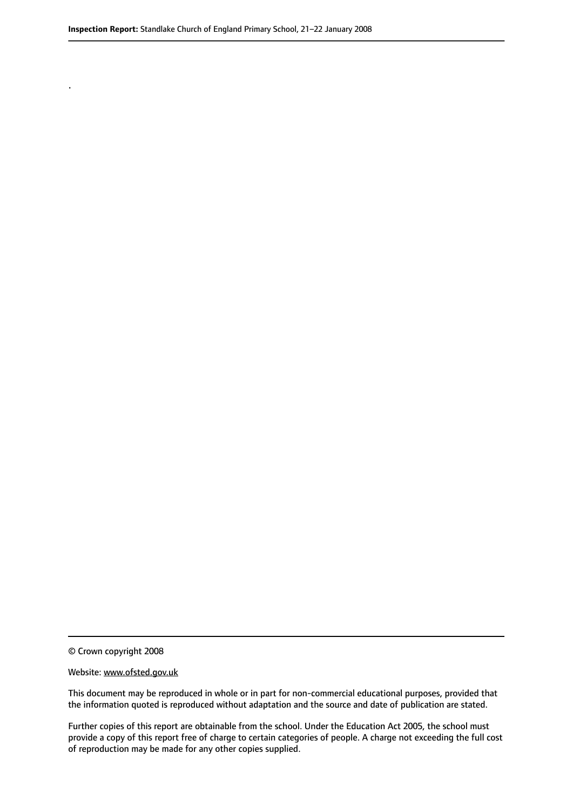© Crown copyright 2008

.

#### Website: www.ofsted.gov.uk

This document may be reproduced in whole or in part for non-commercial educational purposes, provided that the information quoted is reproduced without adaptation and the source and date of publication are stated.

Further copies of this report are obtainable from the school. Under the Education Act 2005, the school must provide a copy of this report free of charge to certain categories of people. A charge not exceeding the full cost of reproduction may be made for any other copies supplied.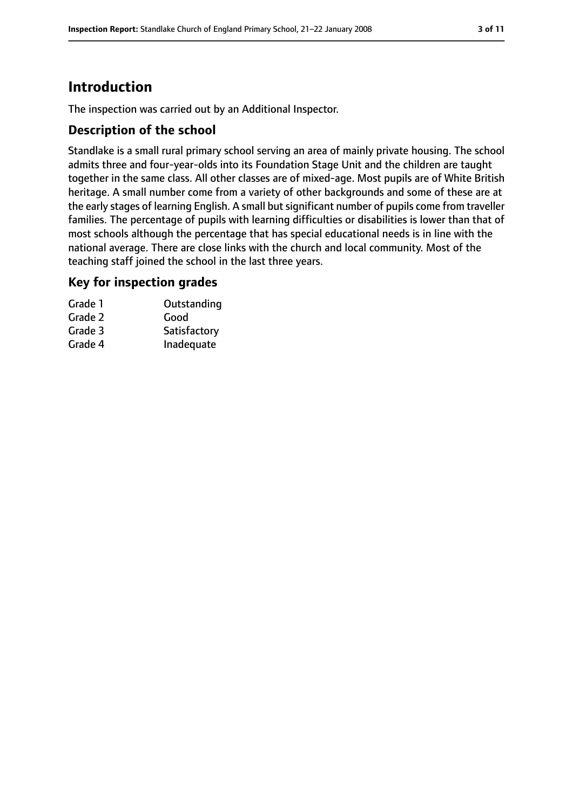# **Introduction**

The inspection was carried out by an Additional Inspector.

## **Description of the school**

Standlake is a small rural primary school serving an area of mainly private housing. The school admits three and four-year-olds into its Foundation Stage Unit and the children are taught together in the same class. All other classes are of mixed-age. Most pupils are of White British heritage. A small number come from a variety of other backgrounds and some of these are at the early stages of learning English. A small but significant number of pupils come from traveller families. The percentage of pupils with learning difficulties or disabilities is lower than that of most schools although the percentage that has special educational needs is in line with the national average. There are close links with the church and local community. Most of the teaching staff joined the school in the last three years.

## **Key for inspection grades**

| Grade 1 | Outstanding  |
|---------|--------------|
| Grade 2 | Good         |
| Grade 3 | Satisfactory |
| Grade 4 | Inadequate   |
|         |              |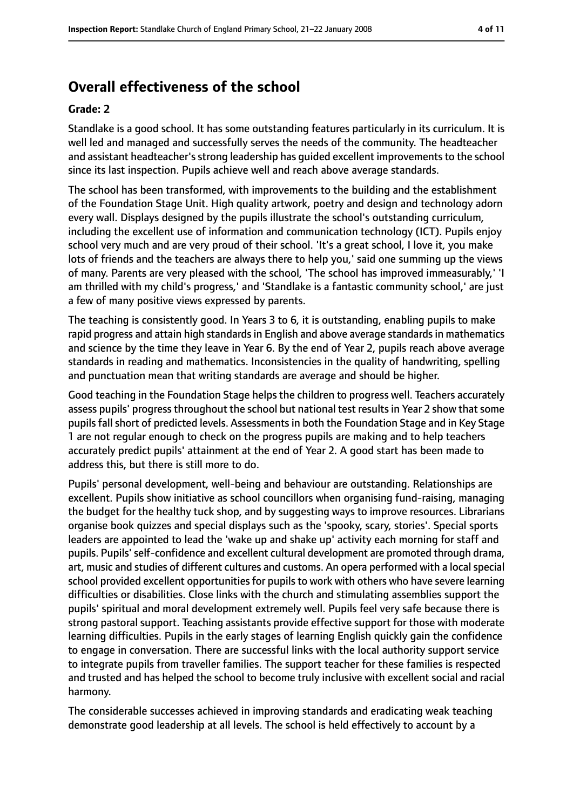# **Overall effectiveness of the school**

#### **Grade: 2**

Standlake is a good school. It has some outstanding features particularly in its curriculum. It is well led and managed and successfully serves the needs of the community. The headteacher and assistant headteacher's strong leadership has quided excellent improvements to the school since its last inspection. Pupils achieve well and reach above average standards.

The school has been transformed, with improvements to the building and the establishment of the Foundation Stage Unit. High quality artwork, poetry and design and technology adorn every wall. Displays designed by the pupils illustrate the school's outstanding curriculum, including the excellent use of information and communication technology (ICT). Pupils enjoy school very much and are very proud of their school. 'It's a great school, I love it, you make lots of friends and the teachers are always there to help you,' said one summing up the views of many. Parents are very pleased with the school, 'The school has improved immeasurably,' 'I am thrilled with my child's progress,' and 'Standlake is a fantastic community school,' are just a few of many positive views expressed by parents.

The teaching is consistently good. In Years 3 to 6, it is outstanding, enabling pupils to make rapid progress and attain high standards in English and above average standards in mathematics and science by the time they leave in Year 6. By the end of Year 2, pupils reach above average standards in reading and mathematics. Inconsistencies in the quality of handwriting, spelling and punctuation mean that writing standards are average and should be higher.

Good teaching in the Foundation Stage helps the children to progress well. Teachers accurately assess pupils' progress throughout the school but national test results in Year 2 show that some pupils fall short of predicted levels. Assessments in both the Foundation Stage and in Key Stage 1 are not regular enough to check on the progress pupils are making and to help teachers accurately predict pupils' attainment at the end of Year 2. A good start has been made to address this, but there is still more to do.

Pupils' personal development, well-being and behaviour are outstanding. Relationships are excellent. Pupils show initiative as school councillors when organising fund-raising, managing the budget for the healthy tuck shop, and by suggesting ways to improve resources. Librarians organise book quizzes and special displays such as the 'spooky, scary, stories'. Special sports leaders are appointed to lead the 'wake up and shake up' activity each morning for staff and pupils. Pupils' self-confidence and excellent cultural development are promoted through drama, art, music and studies of different cultures and customs. An opera performed with a localspecial school provided excellent opportunities for pupils to work with others who have severe learning difficulties or disabilities. Close links with the church and stimulating assemblies support the pupils' spiritual and moral development extremely well. Pupils feel very safe because there is strong pastoral support. Teaching assistants provide effective support for those with moderate learning difficulties. Pupils in the early stages of learning English quickly gain the confidence to engage in conversation. There are successful links with the local authority support service to integrate pupils from traveller families. The support teacher for these families is respected and trusted and has helped the school to become truly inclusive with excellent social and racial harmony.

The considerable successes achieved in improving standards and eradicating weak teaching demonstrate good leadership at all levels. The school is held effectively to account by a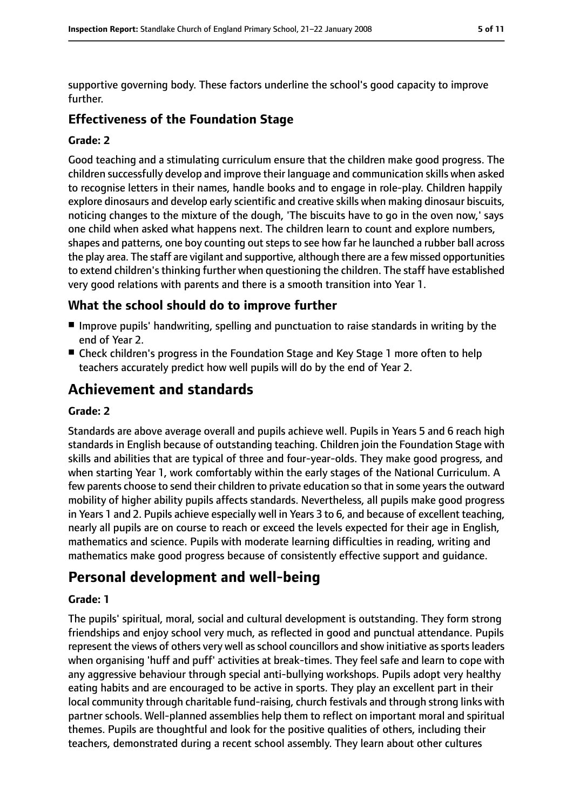supportive governing body. These factors underline the school's good capacity to improve further.

## **Effectiveness of the Foundation Stage**

#### **Grade: 2**

Good teaching and a stimulating curriculum ensure that the children make good progress. The children successfully develop and improve their language and communication skills when asked to recognise letters in their names, handle books and to engage in role-play. Children happily explore dinosaurs and develop early scientific and creative skills when making dinosaur biscuits, noticing changes to the mixture of the dough, 'The biscuits have to go in the oven now,' says one child when asked what happens next. The children learn to count and explore numbers, shapes and patterns, one boy counting out steps to see how far he launched a rubber ball across the play area. The staff are vigilant and supportive, although there are a few missed opportunities to extend children's thinking further when questioning the children. The staff have established very good relations with parents and there is a smooth transition into Year 1.

## **What the school should do to improve further**

- Improve pupils' handwriting, spelling and punctuation to raise standards in writing by the end of Year 2.
- Check children's progress in the Foundation Stage and Key Stage 1 more often to help teachers accurately predict how well pupils will do by the end of Year 2.

# **Achievement and standards**

#### **Grade: 2**

Standards are above average overall and pupils achieve well. Pupils in Years 5 and 6 reach high standards in English because of outstanding teaching. Children join the Foundation Stage with skills and abilities that are typical of three and four-year-olds. They make good progress, and when starting Year 1, work comfortably within the early stages of the National Curriculum. A few parents choose to send their children to private education so that in some years the outward mobility of higher ability pupils affects standards. Nevertheless, all pupils make good progress in Years 1 and 2. Pupils achieve especially well in Years 3 to 6, and because of excellent teaching, nearly all pupils are on course to reach or exceed the levels expected for their age in English, mathematics and science. Pupils with moderate learning difficulties in reading, writing and mathematics make good progress because of consistently effective support and guidance.

# **Personal development and well-being**

#### **Grade: 1**

The pupils' spiritual, moral, social and cultural development is outstanding. They form strong friendships and enjoy school very much, as reflected in good and punctual attendance. Pupils represent the views of others very well as school councillors and show initiative as sports leaders when organising 'huff and puff' activities at break-times. They feel safe and learn to cope with any aggressive behaviour through special anti-bullying workshops. Pupils adopt very healthy eating habits and are encouraged to be active in sports. They play an excellent part in their local community through charitable fund-raising, church festivals and through strong links with partner schools. Well-planned assemblies help them to reflect on important moral and spiritual themes. Pupils are thoughtful and look for the positive qualities of others, including their teachers, demonstrated during a recent school assembly. They learn about other cultures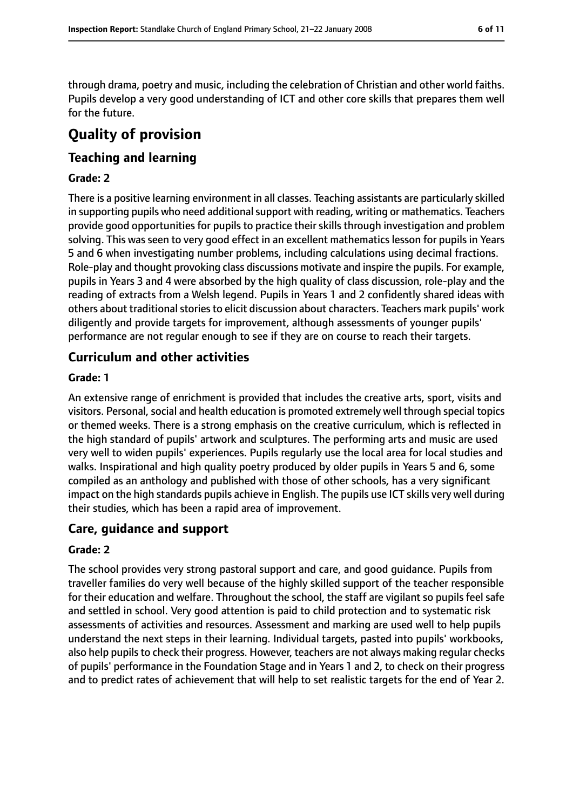through drama, poetry and music, including the celebration of Christian and other world faiths. Pupils develop a very good understanding of ICT and other core skills that prepares them well for the future.

# **Quality of provision**

## **Teaching and learning**

#### **Grade: 2**

There is a positive learning environment in all classes. Teaching assistants are particularly skilled in supporting pupils who need additional support with reading, writing or mathematics. Teachers provide good opportunities for pupils to practice their skills through investigation and problem solving. This was seen to very good effect in an excellent mathematics lesson for pupils in Years 5 and 6 when investigating number problems, including calculations using decimal fractions. Role-play and thought provoking class discussions motivate and inspire the pupils. For example, pupils in Years 3 and 4 were absorbed by the high quality of class discussion, role-play and the reading of extracts from a Welsh legend. Pupils in Years 1 and 2 confidently shared ideas with others about traditional stories to elicit discussion about characters. Teachers mark pupils' work diligently and provide targets for improvement, although assessments of younger pupils' performance are not regular enough to see if they are on course to reach their targets.

## **Curriculum and other activities**

#### **Grade: 1**

An extensive range of enrichment is provided that includes the creative arts, sport, visits and visitors. Personal, social and health education is promoted extremely well through special topics or themed weeks. There is a strong emphasis on the creative curriculum, which is reflected in the high standard of pupils' artwork and sculptures. The performing arts and music are used very well to widen pupils' experiences. Pupils regularly use the local area for local studies and walks. Inspirational and high quality poetry produced by older pupils in Years 5 and 6, some compiled as an anthology and published with those of other schools, has a very significant impact on the high standards pupils achieve in English. The pupils use ICT skills very well during their studies, which has been a rapid area of improvement.

## **Care, guidance and support**

#### **Grade: 2**

The school provides very strong pastoral support and care, and good guidance. Pupils from traveller families do very well because of the highly skilled support of the teacher responsible for their education and welfare. Throughout the school, the staff are vigilant so pupils feel safe and settled in school. Very good attention is paid to child protection and to systematic risk assessments of activities and resources. Assessment and marking are used well to help pupils understand the next steps in their learning. Individual targets, pasted into pupils' workbooks, also help pupils to check their progress. However, teachers are not always making regular checks of pupils' performance in the Foundation Stage and in Years 1 and 2, to check on their progress and to predict rates of achievement that will help to set realistic targets for the end of Year 2.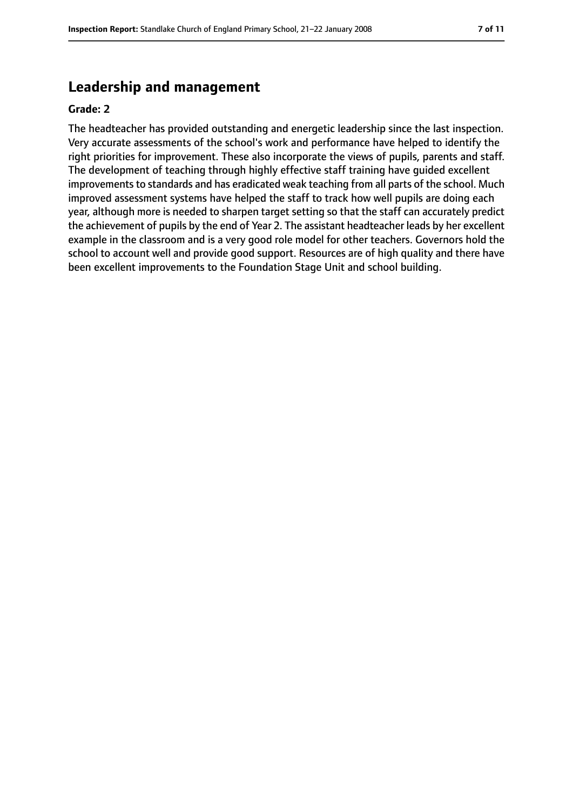# **Leadership and management**

#### **Grade: 2**

The headteacher has provided outstanding and energetic leadership since the last inspection. Very accurate assessments of the school's work and performance have helped to identify the right priorities for improvement. These also incorporate the views of pupils, parents and staff. The development of teaching through highly effective staff training have guided excellent improvements to standards and has eradicated weak teaching from all parts of the school. Much improved assessment systems have helped the staff to track how well pupils are doing each year, although more is needed to sharpen target setting so that the staff can accurately predict the achievement of pupils by the end of Year 2. The assistant headteacher leads by her excellent example in the classroom and is a very good role model for other teachers. Governors hold the school to account well and provide good support. Resources are of high quality and there have been excellent improvements to the Foundation Stage Unit and school building.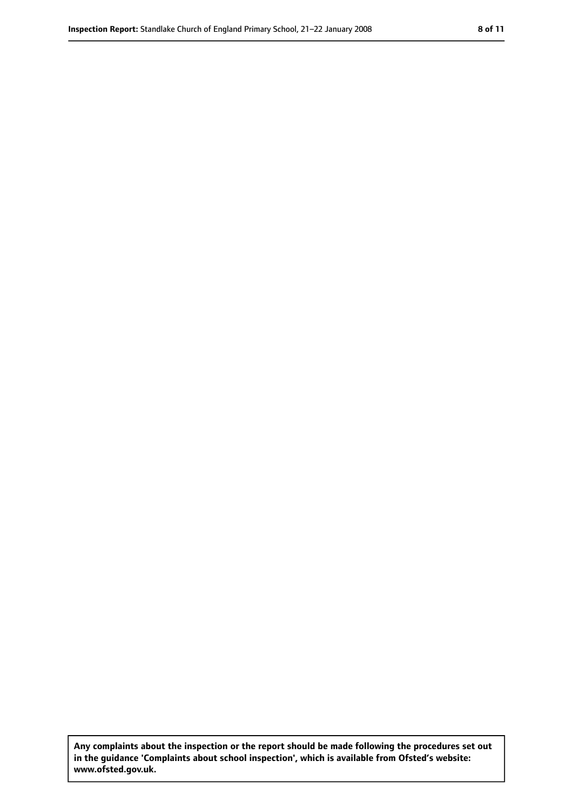**Any complaints about the inspection or the report should be made following the procedures set out in the guidance 'Complaints about school inspection', which is available from Ofsted's website: www.ofsted.gov.uk.**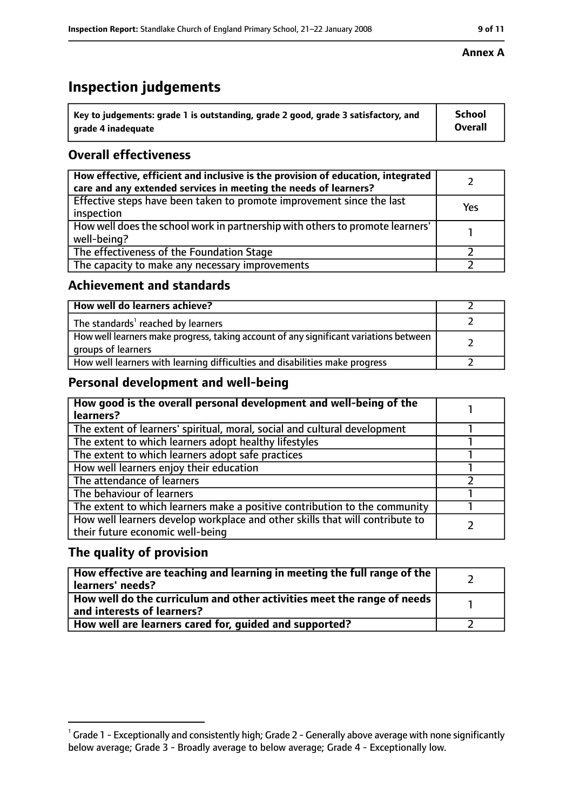# **Inspection judgements**

| $^{\backprime}$ Key to judgements: grade 1 is outstanding, grade 2 good, grade 3 satisfactory, and | <b>School</b>  |
|----------------------------------------------------------------------------------------------------|----------------|
| arade 4 inadeguate                                                                                 | <b>Overall</b> |

# **Overall effectiveness**

| How effective, efficient and inclusive is the provision of education, integrated<br>care and any extended services in meeting the needs of learners? |     |
|------------------------------------------------------------------------------------------------------------------------------------------------------|-----|
| Effective steps have been taken to promote improvement since the last<br>inspection                                                                  | Yes |
| How well does the school work in partnership with others to promote learners'<br>well-being?                                                         |     |
| The effectiveness of the Foundation Stage                                                                                                            |     |
| The capacity to make any necessary improvements                                                                                                      |     |

## **Achievement and standards**

| How well do learners achieve?                                                                               |  |
|-------------------------------------------------------------------------------------------------------------|--|
| The standards <sup>1</sup> reached by learners                                                              |  |
| How well learners make progress, taking account of any significant variations between<br>groups of learners |  |
| How well learners with learning difficulties and disabilities make progress                                 |  |

# **Personal development and well-being**

| How good is the overall personal development and well-being of the<br>learners?                                  |  |
|------------------------------------------------------------------------------------------------------------------|--|
| The extent of learners' spiritual, moral, social and cultural development                                        |  |
| The extent to which learners adopt healthy lifestyles                                                            |  |
| The extent to which learners adopt safe practices                                                                |  |
| How well learners enjoy their education                                                                          |  |
| The attendance of learners                                                                                       |  |
| The behaviour of learners                                                                                        |  |
| The extent to which learners make a positive contribution to the community                                       |  |
| How well learners develop workplace and other skills that will contribute to<br>their future economic well-being |  |

# **The quality of provision**

| How effective are teaching and learning in meeting the full range of the<br>learners' needs?          |  |
|-------------------------------------------------------------------------------------------------------|--|
| How well do the curriculum and other activities meet the range of needs<br>and interests of learners? |  |
| How well are learners cared for, guided and supported?                                                |  |

## **Annex A**

 $^1$  Grade 1 - Exceptionally and consistently high; Grade 2 - Generally above average with none significantly below average; Grade 3 - Broadly average to below average; Grade 4 - Exceptionally low.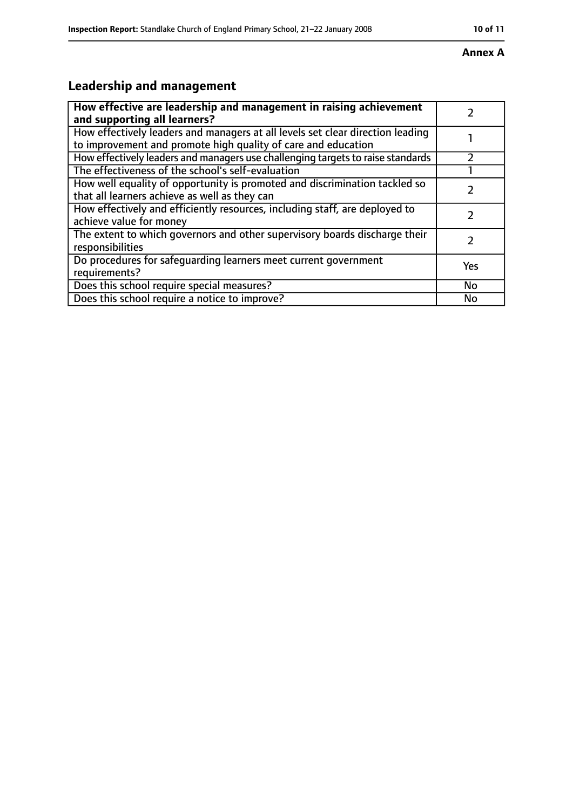#### **Annex A**

# **Leadership and management**

| How effective are leadership and management in raising achievement                                                                              |     |
|-------------------------------------------------------------------------------------------------------------------------------------------------|-----|
| and supporting all learners?                                                                                                                    |     |
| How effectively leaders and managers at all levels set clear direction leading<br>to improvement and promote high quality of care and education |     |
| How effectively leaders and managers use challenging targets to raise standards                                                                 |     |
| The effectiveness of the school's self-evaluation                                                                                               |     |
| How well equality of opportunity is promoted and discrimination tackled so<br>that all learners achieve as well as they can                     |     |
| How effectively and efficiently resources, including staff, are deployed to<br>achieve value for money                                          | 7   |
| The extent to which governors and other supervisory boards discharge their<br>responsibilities                                                  |     |
| Do procedures for safequarding learners meet current government<br>requirements?                                                                | Yes |
| Does this school require special measures?                                                                                                      | No  |
| Does this school require a notice to improve?                                                                                                   | No  |